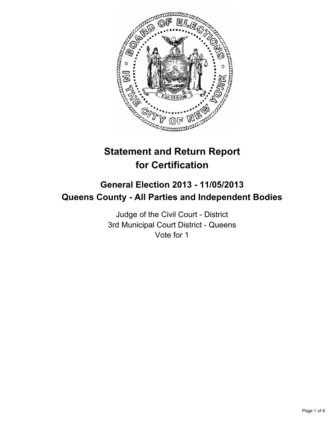

# **Statement and Return Report for Certification**

## **General Election 2013 - 11/05/2013 Queens County - All Parties and Independent Bodies**

Judge of the Civil Court - District 3rd Municipal Court District - Queens Vote for 1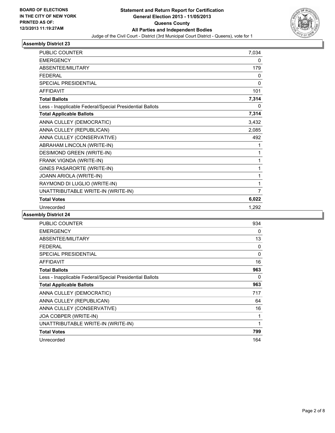

| <b>PUBLIC COUNTER</b>                                    | 7,034          |
|----------------------------------------------------------|----------------|
| <b>EMERGENCY</b>                                         | 0              |
| <b>ABSENTEE/MILITARY</b>                                 | 179            |
| <b>FEDERAL</b>                                           | $\mathbf{0}$   |
| <b>SPECIAL PRESIDENTIAL</b>                              | 0              |
| <b>AFFIDAVIT</b>                                         | 101            |
| <b>Total Ballots</b>                                     | 7,314          |
| Less - Inapplicable Federal/Special Presidential Ballots | 0              |
| <b>Total Applicable Ballots</b>                          | 7,314          |
| ANNA CULLEY (DEMOCRATIC)                                 | 3,432          |
| ANNA CULLEY (REPUBLICAN)                                 | 2,085          |
| ANNA CULLEY (CONSERVATIVE)                               | 492            |
| ABRAHAM LINCOLN (WRITE-IN)                               | 1              |
| <b>DESIMOND GREEN (WRITE-IN)</b>                         | 1              |
| FRANK VIGNDA (WRITE-IN)                                  | 1              |
| GINES PASARORTE (WRITE-IN)                               | 1              |
| JOANN ARIOLA (WRITE-IN)                                  | 1              |
| RAYMOND DI LUGLIO (WRITE-IN)                             | 1              |
| UNATTRIBUTABLE WRITE-IN (WRITE-IN)                       | $\overline{7}$ |
| <b>Total Votes</b>                                       | 6,022          |
| Unrecorded                                               | 1,292          |

| <b>PUBLIC COUNTER</b>                                    | 934          |
|----------------------------------------------------------|--------------|
| <b>EMERGENCY</b>                                         | 0            |
| ABSENTEE/MILITARY                                        | 13           |
| <b>FEDERAL</b>                                           | 0            |
| <b>SPECIAL PRESIDENTIAL</b>                              | $\mathbf{0}$ |
| <b>AFFIDAVIT</b>                                         | 16           |
| <b>Total Ballots</b>                                     | 963          |
| Less - Inapplicable Federal/Special Presidential Ballots | 0            |
| <b>Total Applicable Ballots</b>                          | 963          |
| ANNA CULLEY (DEMOCRATIC)                                 | 717          |
| ANNA CULLEY (REPUBLICAN)                                 | 64           |
| ANNA CULLEY (CONSERVATIVE)                               | 16           |
| JOA COBPER (WRITE-IN)                                    | 1            |
| UNATTRIBUTABLE WRITE-IN (WRITE-IN)                       | 1            |
| <b>Total Votes</b>                                       | 799          |
| Unrecorded                                               | 164          |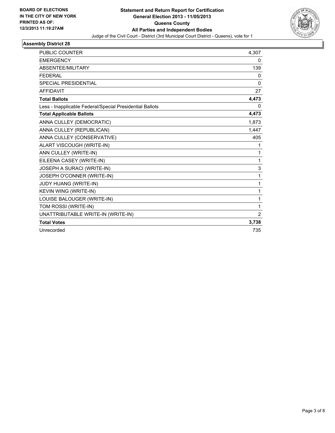

| <b>PUBLIC COUNTER</b>                                    | 4,307        |
|----------------------------------------------------------|--------------|
| <b>EMERGENCY</b>                                         | 0            |
| ABSENTEE/MILITARY                                        | 139          |
| <b>FEDERAL</b>                                           | 0            |
| SPECIAL PRESIDENTIAL                                     | $\mathbf{0}$ |
| <b>AFFIDAVIT</b>                                         | 27           |
| <b>Total Ballots</b>                                     | 4,473        |
| Less - Inapplicable Federal/Special Presidential Ballots | 0            |
| <b>Total Applicable Ballots</b>                          | 4,473        |
| ANNA CULLEY (DEMOCRATIC)                                 | 1,873        |
| ANNA CULLEY (REPUBLICAN)                                 | 1,447        |
| ANNA CULLEY (CONSERVATIVE)                               | 405          |
| ALART VISCOUGH (WRITE-IN)                                | 1            |
| ANN CULLEY (WRITE-IN)                                    | 1            |
| EILEENA CASEY (WRITE-IN)                                 | 1            |
| JOSEPH A SURACI (WRITE-IN)                               | 3            |
| JOSEPH O'CONNER (WRITE-IN)                               | 1            |
| <b>JUDY HUANG (WRITE-IN)</b>                             | 1            |
| KEVIN WING (WRITE-IN)                                    | 1            |
| LOUISE BALOUGER (WRITE-IN)                               | 1            |
| TOM ROSSI (WRITE-IN)                                     | 1            |
| UNATTRIBUTABLE WRITE-IN (WRITE-IN)                       | 2            |
| <b>Total Votes</b>                                       | 3,738        |
| Unrecorded                                               | 735          |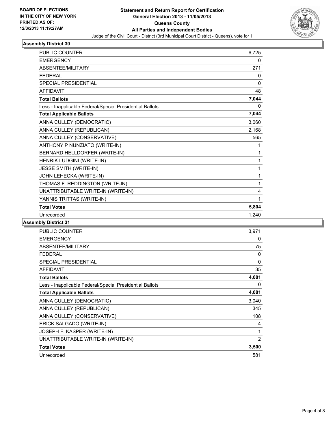

| <b>PUBLIC COUNTER</b>                                    | 6.725 |
|----------------------------------------------------------|-------|
| <b>EMERGENCY</b>                                         | 0     |
| ABSENTEE/MILITARY                                        | 271   |
| <b>FEDERAL</b>                                           | 0     |
| <b>SPECIAL PRESIDENTIAL</b>                              | 0     |
| <b>AFFIDAVIT</b>                                         | 48    |
| <b>Total Ballots</b>                                     | 7,044 |
| Less - Inapplicable Federal/Special Presidential Ballots | 0     |
| <b>Total Applicable Ballots</b>                          | 7,044 |
| ANNA CULLEY (DEMOCRATIC)                                 | 3,060 |
| ANNA CULLEY (REPUBLICAN)                                 | 2,168 |
| ANNA CULLEY (CONSERVATIVE)                               | 565   |
| ANTHONY P NUNZIATO (WRITE-IN)                            | 1     |
| BERNARD HELLDORFER (WRITE-IN)                            | 1     |
| HENRIK LUDGINI (WRITE-IN)                                | 1     |
| JESSE SMITH (WRITE-IN)                                   | 1     |
| JOHN LEHECKA (WRITE-IN)                                  | 1     |
| THOMAS F. REDDINGTON (WRITE-IN)                          | 1     |
| UNATTRIBUTABLE WRITE-IN (WRITE-IN)                       | 4     |
| YANNIS TRITTAS (WRITE-IN)                                | 1     |
| <b>Total Votes</b>                                       | 5,804 |
| Unrecorded                                               | 1.240 |

| <b>PUBLIC COUNTER</b>                                    | 3,971          |
|----------------------------------------------------------|----------------|
| <b>EMERGENCY</b>                                         | 0              |
| ABSENTEE/MILITARY                                        | 75             |
| <b>FEDERAL</b>                                           | 0              |
| <b>SPECIAL PRESIDENTIAL</b>                              | 0              |
| <b>AFFIDAVIT</b>                                         | 35             |
| <b>Total Ballots</b>                                     | 4,081          |
| Less - Inapplicable Federal/Special Presidential Ballots | 0              |
| <b>Total Applicable Ballots</b>                          | 4,081          |
| ANNA CULLEY (DEMOCRATIC)                                 | 3,040          |
| ANNA CULLEY (REPUBLICAN)                                 | 345            |
| ANNA CULLEY (CONSERVATIVE)                               | 108            |
| ERICK SALGADO (WRITE-IN)                                 | 4              |
| JOSEPH F. KASPER (WRITE-IN)                              | 1              |
| UNATTRIBUTABLE WRITE-IN (WRITE-IN)                       | $\overline{2}$ |
| <b>Total Votes</b>                                       | 3,500          |
| Unrecorded                                               | 581            |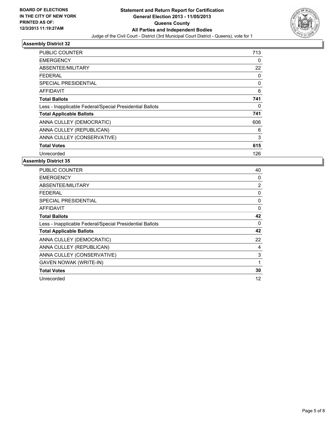

| <b>PUBLIC COUNTER</b>                                    | 713 |
|----------------------------------------------------------|-----|
| <b>EMERGENCY</b>                                         | 0   |
| ABSENTEE/MILITARY                                        | 22  |
| <b>FEDERAL</b>                                           | 0   |
| SPECIAL PRESIDENTIAL                                     | 0   |
| <b>AFFIDAVIT</b>                                         | 6   |
| <b>Total Ballots</b>                                     | 741 |
| Less - Inapplicable Federal/Special Presidential Ballots | 0   |
| <b>Total Applicable Ballots</b>                          | 741 |
| ANNA CULLEY (DEMOCRATIC)                                 | 606 |
| ANNA CULLEY (REPUBLICAN)                                 | 6   |
| ANNA CULLEY (CONSERVATIVE)                               | 3   |
| <b>Total Votes</b>                                       | 615 |
| Unrecorded                                               | 126 |

| <b>PUBLIC COUNTER</b>                                    | 40             |
|----------------------------------------------------------|----------------|
| <b>EMERGENCY</b>                                         | 0              |
| ABSENTEE/MILITARY                                        | $\overline{2}$ |
| <b>FEDERAL</b>                                           | 0              |
| <b>SPECIAL PRESIDENTIAL</b>                              | $\mathbf 0$    |
| <b>AFFIDAVIT</b>                                         | 0              |
| <b>Total Ballots</b>                                     | 42             |
| Less - Inapplicable Federal/Special Presidential Ballots | 0              |
| <b>Total Applicable Ballots</b>                          | 42             |
| ANNA CULLEY (DEMOCRATIC)                                 | 22             |
| ANNA CULLEY (REPUBLICAN)                                 | 4              |
| ANNA CULLEY (CONSERVATIVE)                               | 3              |
| <b>GAVEN NOWAK (WRITE-IN)</b>                            | 1              |
| <b>Total Votes</b>                                       | 30             |
| Unrecorded                                               | 12             |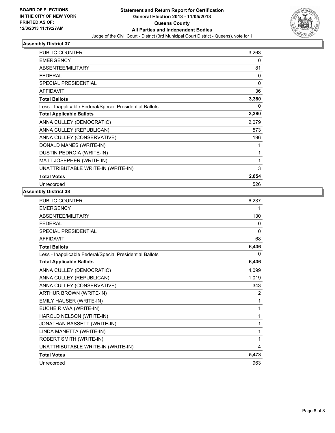

| <b>PUBLIC COUNTER</b>                                    | 3,263 |
|----------------------------------------------------------|-------|
| <b>EMERGENCY</b>                                         | 0     |
| ABSENTEE/MILITARY                                        | 81    |
| <b>FEDERAL</b>                                           | 0     |
| <b>SPECIAL PRESIDENTIAL</b>                              | 0     |
| <b>AFFIDAVIT</b>                                         | 36    |
| <b>Total Ballots</b>                                     | 3,380 |
| Less - Inapplicable Federal/Special Presidential Ballots | 0     |
| <b>Total Applicable Ballots</b>                          | 3,380 |
| ANNA CULLEY (DEMOCRATIC)                                 | 2,079 |
| ANNA CULLEY (REPUBLICAN)                                 | 573   |
| ANNA CULLEY (CONSERVATIVE)                               | 196   |
| DONALD MANES (WRITE-IN)                                  | 1     |
| DUSTIN PEDROIA (WRITE-IN)                                | 1     |
| MATT JOSEPHER (WRITE-IN)                                 | 1     |
| UNATTRIBUTABLE WRITE-IN (WRITE-IN)                       | 3     |
| <b>Total Votes</b>                                       | 2,854 |
| Unrecorded                                               | 526   |

| 6,237    |
|----------|
| 1        |
| 130      |
| 0        |
| $\Omega$ |
| 68       |
| 6,436    |
| 0        |
| 6,436    |
| 4,099    |
| 1,019    |
| 343      |
| 2        |
| 1        |
| 1        |
| 1        |
| 1        |
| 1        |
| 1        |
| 4        |
| 5,473    |
| 963      |
|          |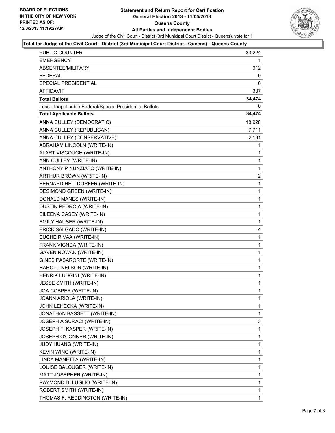

#### **Total for Judge of the Civil Court - District (3rd Municipal Court District - Queens) - Queens County**

| <b>PUBLIC COUNTER</b>                                    | 33,224                  |
|----------------------------------------------------------|-------------------------|
| <b>EMERGENCY</b>                                         | 1                       |
| ABSENTEE/MILITARY                                        | 912                     |
| <b>FEDERAL</b>                                           | 0                       |
| <b>SPECIAL PRESIDENTIAL</b>                              | 0                       |
| <b>AFFIDAVIT</b>                                         | 337                     |
| <b>Total Ballots</b>                                     | 34,474                  |
| Less - Inapplicable Federal/Special Presidential Ballots | 0                       |
| <b>Total Applicable Ballots</b>                          | 34,474                  |
| ANNA CULLEY (DEMOCRATIC)                                 | 18,928                  |
| ANNA CULLEY (REPUBLICAN)                                 | 7,711                   |
| ANNA CULLEY (CONSERVATIVE)                               | 2,131                   |
| ABRAHAM LINCOLN (WRITE-IN)                               | 1                       |
| ALART VISCOUGH (WRITE-IN)                                | 1                       |
| ANN CULLEY (WRITE-IN)                                    | 1                       |
| ANTHONY P NUNZIATO (WRITE-IN)                            | 1                       |
| ARTHUR BROWN (WRITE-IN)                                  | $\overline{\mathbf{c}}$ |
| BERNARD HELLDORFER (WRITE-IN)                            | 1                       |
| DESIMOND GREEN (WRITE-IN)                                | 1                       |
| DONALD MANES (WRITE-IN)                                  | 1                       |
| DUSTIN PEDROIA (WRITE-IN)                                | 1                       |
| EILEENA CASEY (WRITE-IN)                                 | 1                       |
| EMILY HAUSER (WRITE-IN)                                  | $\mathbf 1$             |
| ERICK SALGADO (WRITE-IN)                                 | 4                       |
| EUCHE RIVAA (WRITE-IN)                                   | 1                       |
| FRANK VIGNDA (WRITE-IN)                                  | 1                       |
| GAVEN NOWAK (WRITE-IN)                                   | 1                       |
| GINES PASARORTE (WRITE-IN)                               | 1                       |
| HAROLD NELSON (WRITE-IN)                                 | 1                       |
| HENRIK LUDGINI (WRITE-IN)                                | 1                       |
| JESSE SMITH (WRITE-IN)                                   | 1                       |
| JOA COBPER (WRITE-IN)                                    | $\mathbf{1}$            |
| JOANN ARIOLA (WRITE-IN)                                  | 1                       |
| JOHN LEHECKA (WRITE-IN)                                  | 1                       |
| JONATHAN BASSETT (WRITE-IN)                              | 1                       |
| JOSEPH A SURACI (WRITE-IN)                               | 3                       |
| JOSEPH F. KASPER (WRITE-IN)                              | 1                       |
| JOSEPH O'CONNER (WRITE-IN)                               | 1                       |
| <b>JUDY HUANG (WRITE-IN)</b>                             | 1                       |
| KEVIN WING (WRITE-IN)                                    | 1                       |
| LINDA MANETTA (WRITE-IN)                                 | 1                       |
| LOUISE BALOUGER (WRITE-IN)                               | 1                       |
| MATT JOSEPHER (WRITE-IN)                                 | 1                       |
| RAYMOND DI LUGLIO (WRITE-IN)                             | 1                       |
| ROBERT SMITH (WRITE-IN)                                  | 1                       |
| THOMAS F. REDDINGTON (WRITE-IN)                          | 1                       |